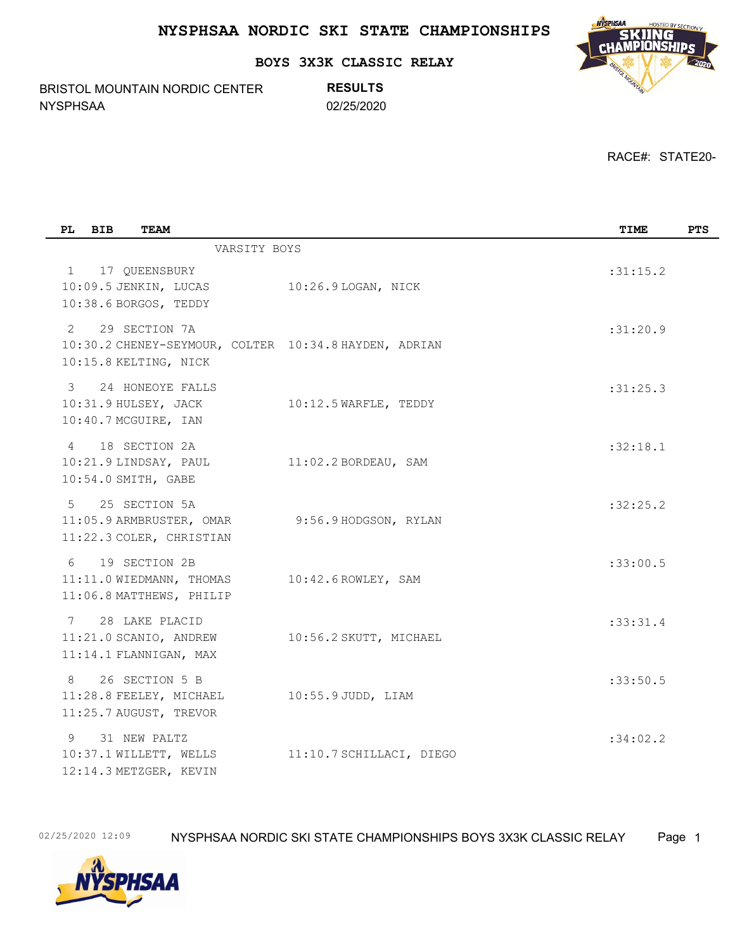**BOYS 3X3K CLASSIC RELAY**

BRISTOL MOUNTAIN NORDIC CENTER NYSPHSAA 02/25/2020

**RESULTS**



RACE#: STATE20-

| PL             | <b>BIB</b> | <b>TEAM</b>                                                           |                                                       | TIME     | <b>PTS</b> |
|----------------|------------|-----------------------------------------------------------------------|-------------------------------------------------------|----------|------------|
|                |            | VARSITY BOYS                                                          |                                                       |          |            |
| 1              |            | 17 QUEENSBURY<br>10:09.5 JENKIN, LUCAS<br>10:38.6 BORGOS, TEDDY       | 10:26.9 LOGAN, NICK                                   | :31:15.2 |            |
| 2              |            | 29 SECTION 7A<br>10:15.8 KELTING, NICK                                | 10:30.2 CHENEY-SEYMOUR, COLTER 10:34.8 HAYDEN, ADRIAN | :31:20.9 |            |
| $\mathcal{E}$  |            | 24 HONEOYE FALLS<br>10:31.9 HULSEY, JACK<br>10:40.7 MCGUIRE, IAN      | 10:12.5 WARFLE, TEDDY                                 | :31:25.3 |            |
| $\overline{4}$ |            | 18 SECTION 2A<br>10:21.9 LINDSAY, PAUL<br>10:54.0 SMITH, GABE         | $11:02.2$ BORDEAU, SAM                                | :32:18.1 |            |
| $5^{\circ}$    |            | 25 SECTION 5A<br>11:05.9 ARMBRUSTER, OMAR<br>11:22.3 COLER, CHRISTIAN | 9:56.9 HODGSON, RYLAN                                 | :32:25.2 |            |
| 6              |            | 19 SECTION 2B<br>11:11.0 WIEDMANN, THOMAS<br>11:06.8 MATTHEWS, PHILIP | $10:42.6$ ROWLEY, SAM                                 | :33:00.5 |            |
| $7\phantom{0}$ |            | 28 LAKE PLACID<br>11:21.0 SCANIO, ANDREW<br>11:14.1 FLANNIGAN, MAX    | 10:56.2 SKUTT, MICHAEL                                | :33:31.4 |            |
| 8              |            | 26 SECTION 5 B<br>11:28.8 FEELEY, MICHAEL<br>11:25.7 AUGUST, TREVOR   | $10:55.9$ JUDD, LIAM                                  | :33:50.5 |            |
| 9              |            | 31 NEW PALTZ<br>10:37.1 WILLETT, WELLS<br>12:14.3 METZGER, KEVIN      | 11:10.7 SCHILLACI, DIEGO                              | :34:02.2 |            |

02/25/2020 12:09 NYSPHSAA NORDIC SKI STATE CHAMPIONSHIPS BOYS 3X3K CLASSIC RELAY Page 1